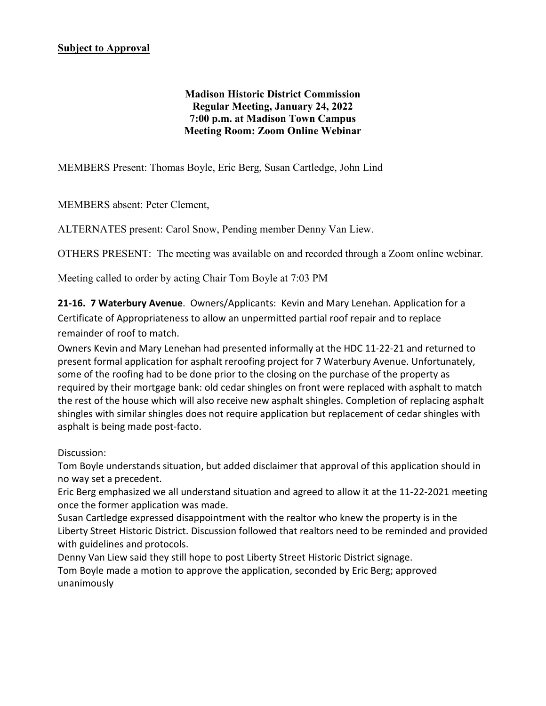**Madison Historic District Commission Regular Meeting, January 24, 2022 7:00 p.m. at Madison Town Campus Meeting Room: Zoom Online Webinar**

MEMBERS Present: Thomas Boyle, Eric Berg, Susan Cartledge, John Lind

MEMBERS absent: Peter Clement,

ALTERNATES present: Carol Snow, Pending member Denny Van Liew.

OTHERS PRESENT: The meeting was available on and recorded through a Zoom online webinar.

Meeting called to order by acting Chair Tom Boyle at 7:03 PM

**21-16. 7 Waterbury Avenue**. Owners/Applicants: Kevin and Mary Lenehan. Application for a Certificate of Appropriateness to allow an unpermitted partial roof repair and to replace remainder of roof to match.

Owners Kevin and Mary Lenehan had presented informally at the HDC 11-22-21 and returned to present formal application for asphalt reroofing project for 7 Waterbury Avenue. Unfortunately, some of the roofing had to be done prior to the closing on the purchase of the property as required by their mortgage bank: old cedar shingles on front were replaced with asphalt to match the rest of the house which will also receive new asphalt shingles. Completion of replacing asphalt shingles with similar shingles does not require application but replacement of cedar shingles with asphalt is being made post-facto.

Discussion:

Tom Boyle understands situation, but added disclaimer that approval of this application should in no way set a precedent.

Eric Berg emphasized we all understand situation and agreed to allow it at the 11-22-2021 meeting once the former application was made.

Susan Cartledge expressed disappointment with the realtor who knew the property is in the Liberty Street Historic District. Discussion followed that realtors need to be reminded and provided with guidelines and protocols.

Denny Van Liew said they still hope to post Liberty Street Historic District signage. Tom Boyle made a motion to approve the application, seconded by Eric Berg; approved unanimously